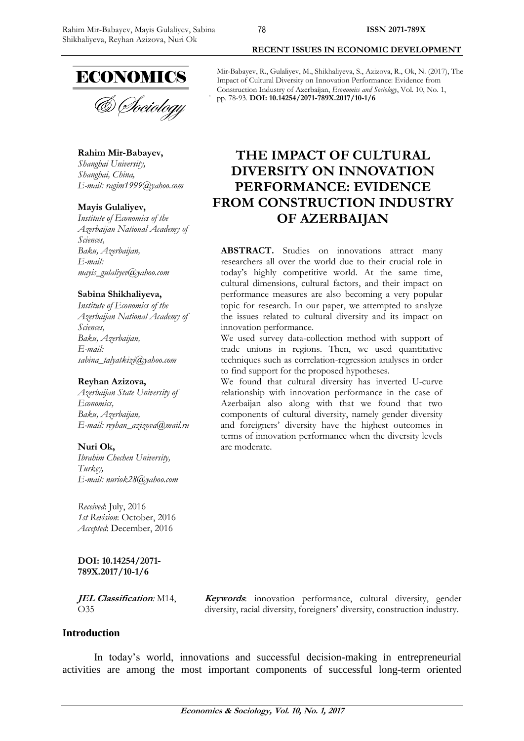

& Sociology

**Rahim Mir-Babayev,** *Shanghai University,*

*Shanghai, China, E-mail: [ragim1999@yahoo.com](mailto:ragim1999@yahoo.com)*

#### **Mayis Gulaliyev,**

*Institute of Economics of the Azerbaijan National Academy of Sciences, Baku, Azerbaijan, E-mail: [mayis\\_gulaliyev@yahoo.com](mailto:mayis_gulaliyev@yahoo.com)*

#### **Sabina Shikhaliyeva,**

*Institute of Economics of the Azerbaijan National Academy of Sciences, Baku, Azerbaijan, E-mail: [sabina\\_talyatkizi@yahoo.com](mailto:sabina_talyatkizi@yahoo.com)*

#### **Reyhan Azizova,**

*Azerbaijan State University of Economics, Baku, Azerbaijan, E-mail: [reyhan\\_azizova@mail.ru](mailto:reyhan_azizova@mail.ru)*

#### **Nuri Ok,**

*Ibrahim Chechen University, Turkey, E-mail: [nuriok28@yahoo.com](mailto:nuriok28@yahoo.com)*

*Received*: July, 2016 *1st Revision*: October, 2016 *Accepted*: December, 2016

**DOI: 10.14254/2071- 789X.2017/10-1/6**

**JEL Classification***:* M14, O35

**Keywords**: innovation performance, cultural diversity, gender diversity, racial diversity, foreigners' diversity, construction industry.

#### **Introduction**

In today's world, innovations and successful decision-making in entrepreneurial activities are among the most important components of successful long-term oriented

Mir-Babayev, R., Gulaliyev, M., Shikhaliyeva, S., Azizova, R., Ok, N. (2017), The Impact of Cultural Diversity on Innovation Performance: Evidence from Construction Industry of Azerbaijan, *Economics and Sociology*, Vol. 10, No. 1, pp. 78-93. **DOI: 10.14254/2071-789X.2017/10-1/6**

**RECENT ISSUES IN ECONOMIC DEVELOPMENT**

# **THE IMPACT OF CULTURAL DIVERSITY ON INNOVATION PERFORMANCE: EVIDENCE FROM CONSTRUCTION INDUSTRY OF AZERBAIJAN**

**ABSTRACT.** Studies on innovations attract many researchers all over the world due to their crucial role in today's highly competitive world. At the same time, cultural dimensions, cultural factors, and their impact on performance measures are also becoming a very popular topic for research. In our paper, we attempted to analyze the issues related to cultural diversity and its impact on innovation performance.

We used survey data-collection method with support of trade unions in regions. Then, we used quantitative techniques such as correlation-regression analyses in order to find support for the proposed hypotheses.

We found that cultural diversity has inverted U-curve relationship with innovation performance in the case of Azerbaijan also along with that we found that two components of cultural diversity, namely gender diversity and foreigners' diversity have the highest outcomes in terms of innovation performance when the diversity levels are moderate.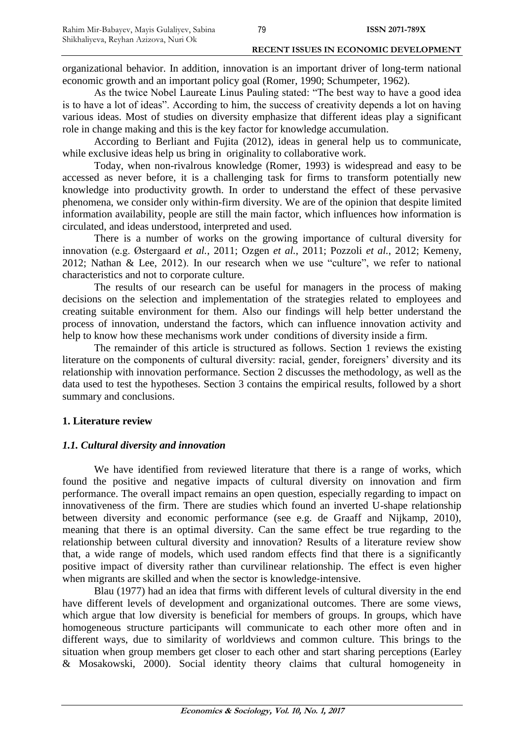organizational behavior. In addition, innovation is an important driver of long-term national economic growth and an important policy goal (Romer, 1990; Schumpeter, 1962).

As the twice Nobel Laureate Linus Pauling stated: "The best way to have a good idea is to have a lot of ideas". According to him, the success of creativity depends a lot on having various ideas. Most of studies on diversity emphasize that different ideas play a significant role in change making and this is the key factor for knowledge accumulation.

According to Berliant and Fujita (2012), ideas in general help us to communicate, while exclusive ideas help us bring in originality to collaborative work.

Today, when non-rivalrous knowledge (Romer, 1993) is widespread and easy to be accessed as never before, it is a challenging task for firms to transform potentially new knowledge into productivity growth. In order to understand the effect of these pervasive phenomena, we consider only within-firm diversity. We are of the opinion that despite limited information availability, people are still the main factor, which influences how information is circulated, and ideas understood, interpreted and used.

There is a number of works on the growing importance of cultural diversity for innovation (e.g. Østergaard *et al.*, 2011; Ozgen *et al.*, 2011; Pozzoli *et al.*, 2012; Kemeny, 2012; Nathan & Lee, 2012). In our research when we use "culture", we refer to national characteristics and not to corporate culture.

The results of our research can be useful for managers in the process of making decisions on the selection and implementation of the strategies related to employees and creating suitable environment for them. Also our findings will help better understand the process of innovation, understand the factors, which can influence innovation activity and help to know how these mechanisms work under conditions of diversity inside a firm.

The remainder of this article is structured as follows. Section 1 reviews the existing literature on the components of cultural diversity: racial, gender, foreigners' diversity and its relationship with innovation performance. Section 2 discusses the methodology, as well as the data used to test the hypotheses. Section 3 contains the empirical results, followed by a short summary and conclusions.

#### **1. Literature review**

#### *1.1. Cultural diversity and innovation*

We have identified from reviewed literature that there is a range of works, which found the positive and negative impacts of cultural diversity on innovation and firm performance. The overall impact remains an open question, especially regarding to impact on innovativeness of the firm. There are studies which found an inverted U-shape relationship between diversity and economic performance (see e.g. de Graaff and Nijkamp, 2010), meaning that there is an optimal diversity. Can the same effect be true regarding to the relationship between cultural diversity and innovation? Results of a literature review show that, a wide range of models, which used random effects find that there is a significantly positive impact of diversity rather than curvilinear relationship. The effect is even higher when migrants are skilled and when the sector is knowledge-intensive.

Blau (1977) had an idea that firms with different levels of cultural diversity in the end have different levels of development and organizational outcomes. There are some views, which argue that low diversity is beneficial for members of groups. In groups, which have homogeneous structure participants will communicate to each other more often and in different ways, due to similarity of worldviews and common culture. This brings to the situation when group members get closer to each other and start sharing perceptions (Earley & Mosakowski, 2000). Social identity theory claims that cultural homogeneity in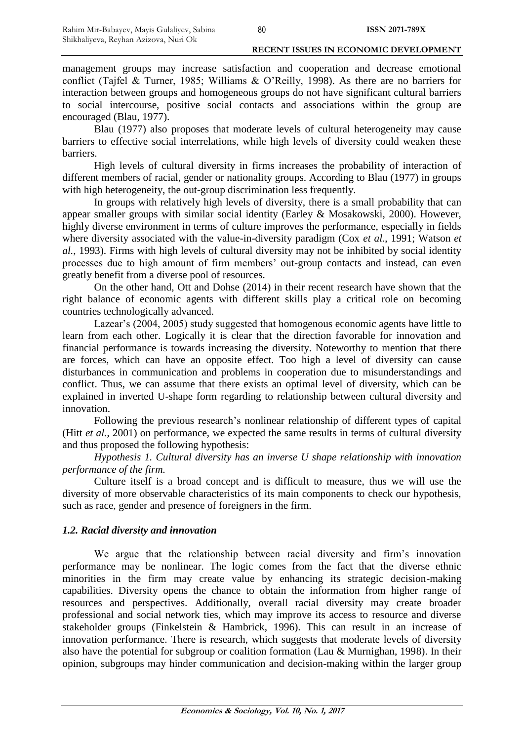management groups may increase satisfaction and cooperation and decrease emotional conflict (Tajfel & Turner, 1985; Williams & O'Reilly, 1998). As there are no barriers for interaction between groups and homogeneous groups do not have significant cultural barriers to social intercourse, positive social contacts and associations within the group are encouraged (Blau, 1977).

Blau (1977) also proposes that moderate levels of cultural heterogeneity may cause barriers to effective social interrelations, while high levels of diversity could weaken these barriers.

High levels of cultural diversity in firms increases the probability of interaction of different members of racial, gender or nationality groups. According to Blau (1977) in groups with high heterogeneity, the out-group discrimination less frequently.

In groups with relatively high levels of diversity, there is a small probability that can appear smaller groups with similar social identity (Earley & Mosakowski, 2000). However, highly diverse environment in terms of culture improves the performance, especially in fields where diversity associated with the value-in-diversity paradigm (Cox *et al.*, 1991; Watson *et al.*, 1993). Firms with high levels of cultural diversity may not be inhibited by social identity processes due to high amount of firm members' out-group contacts and instead, can even greatly benefit from a diverse pool of resources.

On the other hand, Ott and Dohse (2014) in their recent research have shown that the right balance of economic agents with different skills play a critical role on becoming countries technologically advanced.

Lazear's (2004, 2005) study suggested that homogenous economic agents have little to learn from each other. Logically it is clear that the direction favorable for innovation and financial performance is towards increasing the diversity. Noteworthy to mention that there are forces, which can have an opposite effect. Too high a level of diversity can cause disturbances in communication and problems in cooperation due to misunderstandings and conflict. Thus, we can assume that there exists an optimal level of diversity, which can be explained in inverted U-shape form regarding to relationship between cultural diversity and innovation.

Following the previous research's nonlinear relationship of different types of capital (Hitt *et al.*, 2001) on performance, we expected the same results in terms of cultural diversity and thus proposed the following hypothesis:

*Hypothesis 1. Cultural diversity has an inverse U shape relationship with innovation performance of the firm.*

Culture itself is a broad concept and is difficult to measure, thus we will use the diversity of more observable characteristics of its main components to check our hypothesis, such as race, gender and presence of foreigners in the firm.

# *1.2. Racial diversity and innovation*

We argue that the relationship between racial diversity and firm's innovation performance may be nonlinear. The logic comes from the fact that the diverse ethnic minorities in the firm may create value by enhancing its strategic decision-making capabilities. Diversity opens the chance to obtain the information from higher range of resources and perspectives. Additionally, overall racial diversity may create broader professional and social network ties, which may improve its access to resource and diverse stakeholder groups (Finkelstein & Hambrick, 1996). This can result in an increase of innovation performance. There is research, which suggests that moderate levels of diversity also have the potential for subgroup or coalition formation (Lau & Murnighan, 1998). In their opinion, subgroups may hinder communication and decision-making within the larger group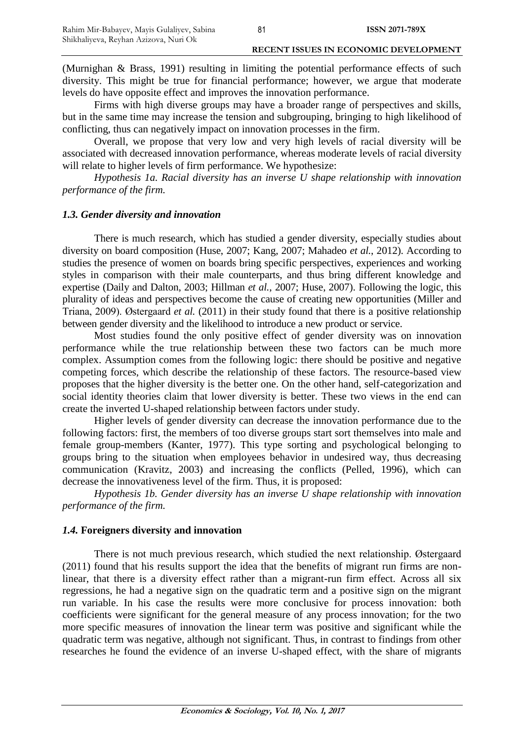(Murnighan & Brass, 1991) resulting in limiting the potential performance effects of such diversity. This might be true for financial performance; however, we argue that moderate levels do have opposite effect and improves the innovation performance.

Firms with high diverse groups may have a broader range of perspectives and skills, but in the same time may increase the tension and subgrouping, bringing to high likelihood of conflicting, thus can negatively impact on innovation processes in the firm.

Overall, we propose that very low and very high levels of racial diversity will be associated with decreased innovation performance, whereas moderate levels of racial diversity will relate to higher levels of firm performance. We hypothesize:

*Hypothesis 1a. Racial diversity has an inverse U shape relationship with innovation performance of the firm.*

#### *1.3. Gender diversity and innovation*

There is much research, which has studied a gender diversity, especially studies about diversity on board composition (Huse, 2007; Kang, 2007; Mahadeo *et al.*, 2012). According to studies the presence of women on boards bring specific perspectives, experiences and working styles in comparison with their male counterparts, and thus bring different knowledge and expertise (Daily and Dalton, 2003; Hillman *et al.*, 2007; Huse, 2007). Following the logic, this plurality of ideas and perspectives become the cause of creating new opportunities (Miller and Triana, 2009). Østergaard *et al.* (2011) in their study found that there is a positive relationship between gender diversity and the likelihood to introduce a new product or service.

Most studies found the only positive effect of gender diversity was on innovation performance while the true relationship between these two factors can be much more complex. Assumption comes from the following logic: there should be positive and negative competing forces, which describe the relationship of these factors. The resource-based view proposes that the higher diversity is the better one. On the other hand, self-categorization and social identity theories claim that lower diversity is better. These two views in the end can create the inverted U-shaped relationship between factors under study.

Higher levels of gender diversity can decrease the innovation performance due to the following factors: first, the members of too diverse groups start sort themselves into male and female group-members (Kanter, 1977). This type sorting and psychological belonging to groups bring to the situation when employees behavior in undesired way, thus decreasing communication (Kravitz, 2003) and increasing the conflicts (Pelled, 1996), which can decrease the innovativeness level of the firm. Thus, it is proposed:

*Hypothesis 1b. Gender diversity has an inverse U shape relationship with innovation performance of the firm.*

#### *1.4.* **Foreigners diversity and innovation**

There is not much previous research, which studied the next relationship. Østergaard (2011) found that his results support the idea that the benefits of migrant run firms are nonlinear, that there is a diversity effect rather than a migrant-run firm effect. Across all six regressions, he had a negative sign on the quadratic term and a positive sign on the migrant run variable. In his case the results were more conclusive for process innovation: both coefficients were significant for the general measure of any process innovation; for the two more specific measures of innovation the linear term was positive and significant while the quadratic term was negative, although not significant. Thus, in contrast to findings from other researches he found the evidence of an inverse U-shaped effect, with the share of migrants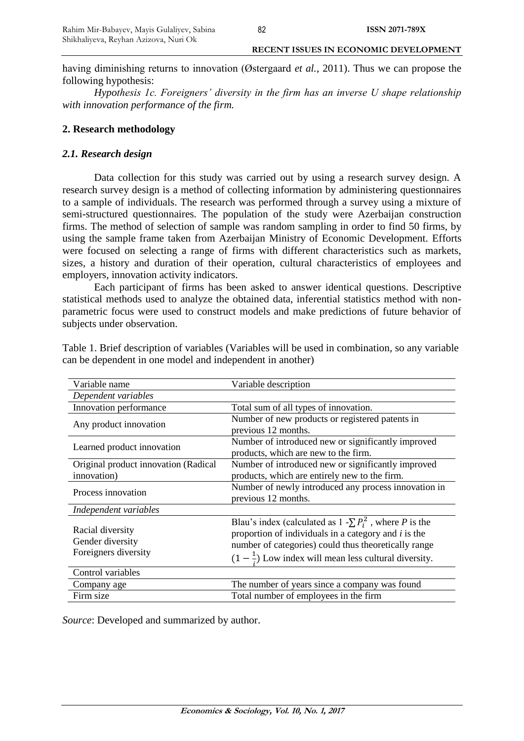having diminishing returns to innovation (Østergaard *et al.*, 2011). Thus we can propose the following hypothesis:

*Hypothesis 1c. Foreigners' diversity in the firm has an inverse U shape relationship with innovation performance of the firm.*

# **2. Research methodology**

# *2.1. Research design*

Data collection for this study was carried out by using a research survey design. A research survey design is a method of collecting information by administering questionnaires to a sample of individuals. The research was performed through a survey using a mixture of semi-structured questionnaires. The population of the study were Azerbaijan construction firms. The method of selection of sample was random sampling in order to find 50 firms, by using the sample frame taken from Azerbaijan Ministry of Economic Development. Efforts were focused on selecting a range of firms with different characteristics such as markets, sizes, a history and duration of their operation, cultural characteristics of employees and employers, innovation activity indicators.

Each participant of firms has been asked to answer identical questions. Descriptive statistical methods used to analyze the obtained data, inferential statistics method with nonparametric focus were used to construct models and make predictions of future behavior of subjects under observation.

| Variable name                                                | Variable description                                                                                                                                                                                                                                |
|--------------------------------------------------------------|-----------------------------------------------------------------------------------------------------------------------------------------------------------------------------------------------------------------------------------------------------|
| Dependent variables                                          |                                                                                                                                                                                                                                                     |
| Innovation performance                                       | Total sum of all types of innovation.                                                                                                                                                                                                               |
| Any product innovation                                       | Number of new products or registered patents in<br>previous 12 months.                                                                                                                                                                              |
| Learned product innovation                                   | Number of introduced new or significantly improved<br>products, which are new to the firm.                                                                                                                                                          |
| Original product innovation (Radical<br>innovation)          | Number of introduced new or significantly improved<br>products, which are entirely new to the firm.                                                                                                                                                 |
| Process innovation                                           | Number of newly introduced any process innovation in<br>previous 12 months.                                                                                                                                                                         |
| Independent variables                                        |                                                                                                                                                                                                                                                     |
| Racial diversity<br>Gender diversity<br>Foreigners diversity | Blau's index (calculated as $1 - \sum P_i^2$ , where P is the<br>proportion of individuals in a category and $i$ is the<br>number of categories) could thus theoretically range<br>$(1 - \frac{1}{x})$ Low index will mean less cultural diversity. |
| Control variables                                            |                                                                                                                                                                                                                                                     |
| Company age                                                  | The number of years since a company was found                                                                                                                                                                                                       |
| Firm size                                                    | Total number of employees in the firm                                                                                                                                                                                                               |

Table 1. Brief description of variables (Variables will be used in combination, so any variable can be dependent in one model and independent in another)

*Source*: Developed and summarized by author.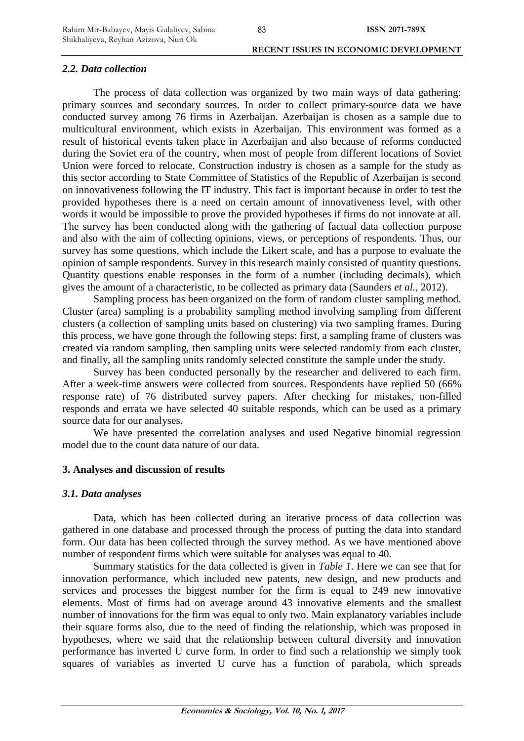# *2.2. Data collection*

The process of data collection was organized by two main ways of data gathering: primary sources and secondary sources. In order to collect primary-source data we have conducted survey among 76 firms in Azerbaijan. Azerbaijan is chosen as a sample due to multicultural environment, which exists in Azerbaijan. This environment was formed as a result of historical events taken place in Azerbaijan and also because of reforms conducted during the Soviet era of the country, when most of people from different locations of Soviet Union were forced to relocate. Construction industry is chosen as a sample for the study as this sector according to State Committee of Statistics of the Republic of Azerbaijan is second on innovativeness following the IT industry. This fact is important because in order to test the provided hypotheses there is a need on certain amount of innovativeness level, with other words it would be impossible to prove the provided hypotheses if firms do not innovate at all. The survey has been conducted along with the gathering of factual data collection purpose and also with the aim of collecting opinions, views, or perceptions of respondents. Thus, our survey has some questions, which include the Likert scale, and has a purpose to evaluate the opinion of sample respondents. Survey in this research mainly consisted of quantity questions. Quantity questions enable responses in the form of a number (including decimals), which gives the amount of a characteristic, to be collected as primary data (Saunders *et al.*, 2012).

Sampling process has been organized on the form of random cluster sampling method. Cluster (area) sampling is a probability sampling method involving sampling from different clusters (a collection of sampling units based on clustering) via two sampling frames. During this process, we have gone through the following steps: first, a sampling frame of clusters was created via random sampling, then sampling units were selected randomly from each cluster, and finally, all the sampling units randomly selected constitute the sample under the study.

Survey has been conducted personally by the researcher and delivered to each firm. After a week-time answers were collected from sources. Respondents have replied 50 (66% response rate) of 76 distributed survey papers. After checking for mistakes, non-filled responds and errata we have selected 40 suitable responds, which can be used as a primary source data for our analyses.

We have presented the correlation analyses and used Negative binomial regression model due to the count data nature of our data.

# **3. Analyses and discussion of results**

# *3.1. Data analyses*

Data, which has been collected during an iterative process of data collection was gathered in one database and processed through the process of putting the data into standard form. Our data has been collected through the survey method. As we have mentioned above number of respondent firms which were suitable for analyses was equal to 40.

Summary statistics for the data collected is given in *Table 1*. Here we can see that for innovation performance, which included new patents, new design, and new products and services and processes the biggest number for the firm is equal to 249 new innovative elements. Most of firms had on average around 43 innovative elements and the smallest number of innovations for the firm was equal to only two. Main explanatory variables include their square forms also, due to the need of finding the relationship, which was proposed in hypotheses, where we said that the relationship between cultural diversity and innovation performance has inverted U curve form. In order to find such a relationship we simply took squares of variables as inverted U curve has a function of parabola, which spreads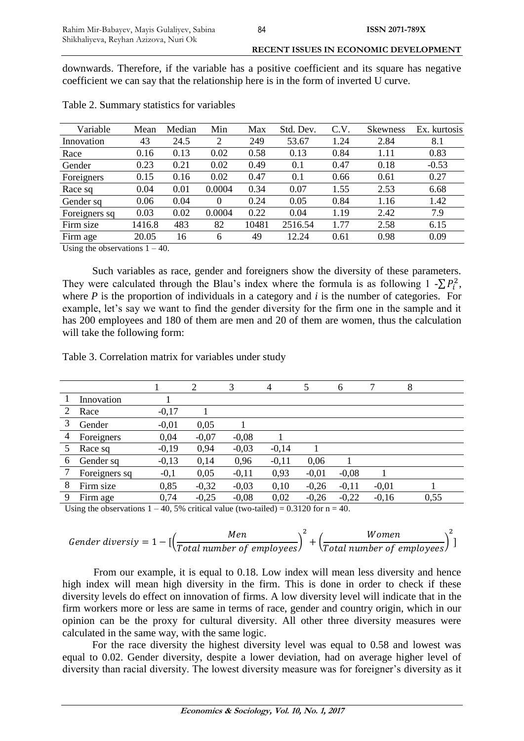downwards. Therefore, if the variable has a positive coefficient and its square has negative coefficient we can say that the relationship here is in the form of inverted U curve.

| Variable                        | Mean   | Median | Min      | Max   | Std. Dev. | C.V. | <b>Skewness</b> | Ex. kurtosis |
|---------------------------------|--------|--------|----------|-------|-----------|------|-----------------|--------------|
| Innovation                      | 43     | 24.5   | 2        | 249   | 53.67     | 1.24 | 2.84            | 8.1          |
| Race                            | 0.16   | 0.13   | 0.02     | 0.58  | 0.13      | 0.84 | 1.11            | 0.83         |
| Gender                          | 0.23   | 0.21   | 0.02     | 0.49  | 0.1       | 0.47 | 0.18            | $-0.53$      |
| Foreigners                      | 0.15   | 0.16   | 0.02     | 0.47  | 0.1       | 0.66 | 0.61            | 0.27         |
| Race sq                         | 0.04   | 0.01   | 0.0004   | 0.34  | 0.07      | 1.55 | 2.53            | 6.68         |
| Gender sq                       | 0.06   | 0.04   | $\Omega$ | 0.24  | 0.05      | 0.84 | 1.16            | 1.42         |
| Foreigners sq                   | 0.03   | 0.02   | 0.0004   | 0.22  | 0.04      | 1.19 | 2.42            | 7.9          |
| Firm size                       | 1416.8 | 483    | 82       | 10481 | 2516.54   | 1.77 | 2.58            | 6.15         |
| Firm age                        | 20.05  | 16     | 6        | 49    | 12.24     | 0.61 | 0.98            | 0.09         |
| Heing the observations $1 - 40$ |        |        |          |       |           |      |                 |              |

Table 2. Summary statistics for variables

Using the observations  $1 - 40$ .

Such variables as race, gender and foreigners show the diversity of these parameters. They were calculated through the Blau's index where the formula is as following  $1 - \sum P_i^2$ , where *P* is the proportion of individuals in a category and *i* is the number of categories. For example, let's say we want to find the gender diversity for the firm one in the sample and it has 200 employees and 180 of them are men and 20 of them are women, thus the calculation will take the following form:

Table 3. Correlation matrix for variables under study

|   |               |         | $\overline{2}$ | 3       | 4       | 5       | 6       |         | 8    |
|---|---------------|---------|----------------|---------|---------|---------|---------|---------|------|
|   | Innovation    |         |                |         |         |         |         |         |      |
| 2 | Race          | $-0,17$ |                |         |         |         |         |         |      |
| 3 | Gender        | $-0.01$ | 0,05           |         |         |         |         |         |      |
| 4 | Foreigners    | 0,04    | $-0.07$        | $-0.08$ |         |         |         |         |      |
|   | Race sq       | $-0,19$ | 0,94           | $-0,03$ | $-0,14$ |         |         |         |      |
| 6 | Gender sq     | $-0,13$ | 0,14           | 0,96    | $-0,11$ | 0,06    |         |         |      |
|   | Foreigners sq | $-0,1$  | 0,05           | $-0,11$ | 0,93    | $-0.01$ | $-0.08$ |         |      |
| 8 | Firm size     | 0,85    | $-0,32$        | $-0,03$ | 0,10    | $-0,26$ | $-0,11$ | $-0.01$ |      |
| 9 | Firm age      | 0,74    | $-0,25$        | $-0,08$ | 0,02    | $-0,26$ | $-0,22$ | $-0,16$ | 0,55 |
|   |               |         |                |         |         |         |         |         |      |

Using the observations  $1 - 40$ , 5% critical value (two-tailed) = 0.3120 for n = 40.

$$
Gender diversity = 1 - [\left(\frac{Men}{Total number of employees}\right)^2 + \left(\frac{Women}{Total number of employees}\right)^2]
$$

From our example, it is equal to 0.18. Low index will mean less diversity and hence high index will mean high diversity in the firm. This is done in order to check if these diversity levels do effect on innovation of firms. A low diversity level will indicate that in the firm workers more or less are same in terms of race, gender and country origin, which in our opinion can be the proxy for cultural diversity. All other three diversity measures were calculated in the same way, with the same logic.

For the race diversity the highest diversity level was equal to 0.58 and lowest was equal to 0.02. Gender diversity, despite a lower deviation, had on average higher level of diversity than racial diversity. The lowest diversity measure was for foreigner's diversity as it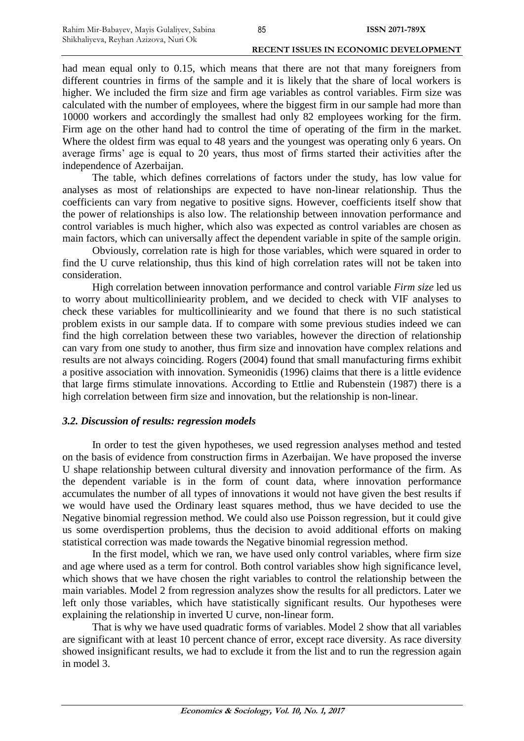had mean equal only to 0.15, which means that there are not that many foreigners from different countries in firms of the sample and it is likely that the share of local workers is higher. We included the firm size and firm age variables as control variables. Firm size was calculated with the number of employees, where the biggest firm in our sample had more than 10000 workers and accordingly the smallest had only 82 employees working for the firm. Firm age on the other hand had to control the time of operating of the firm in the market. Where the oldest firm was equal to 48 years and the youngest was operating only 6 years. On average firms' age is equal to 20 years, thus most of firms started their activities after the independence of Azerbaijan.

The table, which defines correlations of factors under the study, has low value for analyses as most of relationships are expected to have non-linear relationship. Thus the coefficients can vary from negative to positive signs. However, coefficients itself show that the power of relationships is also low. The relationship between innovation performance and control variables is much higher, which also was expected as control variables are chosen as main factors, which can universally affect the dependent variable in spite of the sample origin.

Obviously, correlation rate is high for those variables, which were squared in order to find the U curve relationship, thus this kind of high correlation rates will not be taken into consideration.

High correlation between innovation performance and control variable *Firm size* led us to worry about multicolliniearity problem, and we decided to check with VIF analyses to check these variables for multicolliniearity and we found that there is no such statistical problem exists in our sample data. If to compare with some previous studies indeed we can find the high correlation between these two variables, however the direction of relationship can vary from one study to another, thus firm size and innovation have complex relations and results are not always coinciding. Rogers (2004) found that small manufacturing firms exhibit a positive association with innovation. Symeonidis (1996) claims that there is a little evidence that large firms stimulate innovations. According to Ettlie and Rubenstein (1987) there is a high correlation between firm size and innovation, but the relationship is non-linear.

# *3.2. Discussion of results: regression models*

In order to test the given hypotheses, we used regression analyses method and tested on the basis of evidence from construction firms in Azerbaijan. We have proposed the inverse U shape relationship between cultural diversity and innovation performance of the firm. As the dependent variable is in the form of count data, where innovation performance accumulates the number of all types of innovations it would not have given the best results if we would have used the Ordinary least squares method, thus we have decided to use the Negative binomial regression method. We could also use Poisson regression, but it could give us some overdispertion problems, thus the decision to avoid additional efforts on making statistical correction was made towards the Negative binomial regression method.

In the first model, which we ran, we have used only control variables, where firm size and age where used as a term for control. Both control variables show high significance level, which shows that we have chosen the right variables to control the relationship between the main variables. Model 2 from regression analyzes show the results for all predictors. Later we left only those variables, which have statistically significant results. Our hypotheses were explaining the relationship in inverted U curve, non-linear form.

That is why we have used quadratic forms of variables. Model 2 show that all variables are significant with at least 10 percent chance of error, except race diversity. As race diversity showed insignificant results, we had to exclude it from the list and to run the regression again in model 3.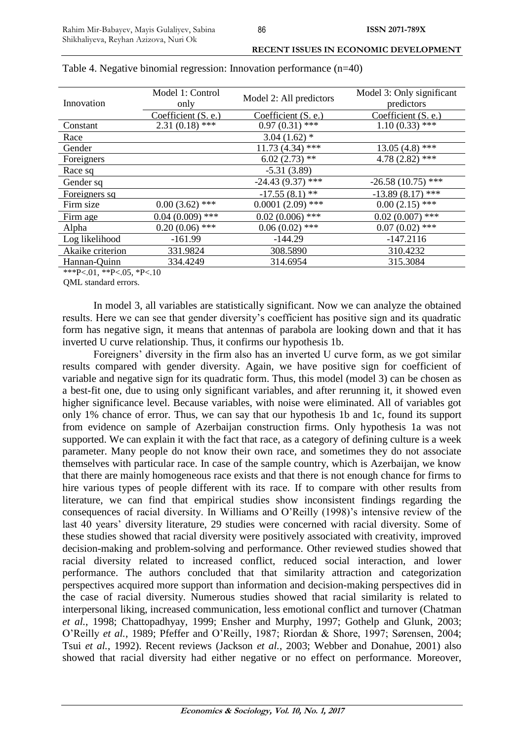| Innovation       | Model 1: Control<br>only | Model 2: All predictors | Model 3: Only significant<br>predictors |
|------------------|--------------------------|-------------------------|-----------------------------------------|
|                  | Coefficient (S. e.)      | Coefficient (S. e.)     | Coefficient (S. e.)                     |
| Constant         | $2.31(0.18)$ ***         | $0.97(0.31)$ ***        | $1.10(0.33)$ ***                        |
| Race             |                          | $3.04(1.62)$ *          |                                         |
| Gender           |                          | $11.73(4.34)$ ***       | $13.05(4.8)$ ***                        |
| Foreigners       |                          | $6.02(2.73)$ **         | $4.78(2.82)$ ***                        |
| Race sq          |                          | $-5.31(3.89)$           |                                         |
| Gender sq        |                          | $-24.43(9.37)$ ***      | $-26.58(10.75)$ ***                     |
| Foreigners sq    |                          | $-17.55(8.1)$ **        | $-13.89(8.17)$ ***                      |
| Firm size        | $0.00(3.62)$ ***         | $0.0001(2.09)$ ***      | $0.00(2.15)$ ***                        |
| Firm age         | $0.04(0.009)$ ***        | $0.02(0.006)$ ***       | $0.02(0.007)$ ***                       |
| Alpha            | $0.20(0.06)$ ***         | $0.06(0.02)$ ***        | $0.07(0.02)$ ***                        |
| Log likelihood   | $-161.99$                | $-144.29$               | $-147.2116$                             |
| Akaike criterion | 331.9824                 | 308.5890                | 310.4232                                |
| Hannan-Quinn     | 334.4249                 | 314.6954                | 315.3084                                |

#### Table 4. Negative binomial regression: Innovation performance (n=40)

\*\*\*P<.01, \*\*P<.05, \*P<.10

QML standard errors.

In model 3, all variables are statistically significant. Now we can analyze the obtained results. Here we can see that gender diversity's coefficient has positive sign and its quadratic form has negative sign, it means that antennas of parabola are looking down and that it has inverted U curve relationship. Thus, it confirms our hypothesis 1b.

Foreigners' diversity in the firm also has an inverted U curve form, as we got similar results compared with gender diversity. Again, we have positive sign for coefficient of variable and negative sign for its quadratic form. Thus, this model (model 3) can be chosen as a best-fit one, due to using only significant variables, and after rerunning it, it showed even higher significance level. Because variables, with noise were eliminated. All of variables got only 1% chance of error. Thus, we can say that our hypothesis 1b and 1c, found its support from evidence on sample of Azerbaijan construction firms. Only hypothesis 1a was not supported. We can explain it with the fact that race, as a category of defining culture is a week parameter. Many people do not know their own race, and sometimes they do not associate themselves with particular race. In case of the sample country, which is Azerbaijan, we know that there are mainly homogeneous race exists and that there is not enough chance for firms to hire various types of people different with its race. If to compare with other results from literature, we can find that empirical studies show inconsistent findings regarding the consequences of racial diversity. In Williams and O'Reilly (1998)'s intensive review of the last 40 years' diversity literature, 29 studies were concerned with racial diversity. Some of these studies showed that racial diversity were positively associated with creativity, improved decision-making and problem-solving and performance. Other reviewed studies showed that racial diversity related to increased conflict, reduced social interaction, and lower performance. The authors concluded that that similarity attraction and categorization perspectives acquired more support than information and decision-making perspectives did in the case of racial diversity. Numerous studies showed that racial similarity is related to interpersonal liking, increased communication, less emotional conflict and turnover (Chatman *et al.*, 1998; Chattopadhyay, 1999; Ensher and Murphy, 1997; Gothelp and Glunk, 2003; O'Reilly *et al.*, 1989; Pfeffer and O'Reilly, 1987; Riordan & Shore, 1997; Sørensen, 2004; Tsui *et al.*, 1992). Recent reviews (Jackson *et al.*, 2003; Webber and Donahue, 2001) also showed that racial diversity had either negative or no effect on performance. Moreover,

86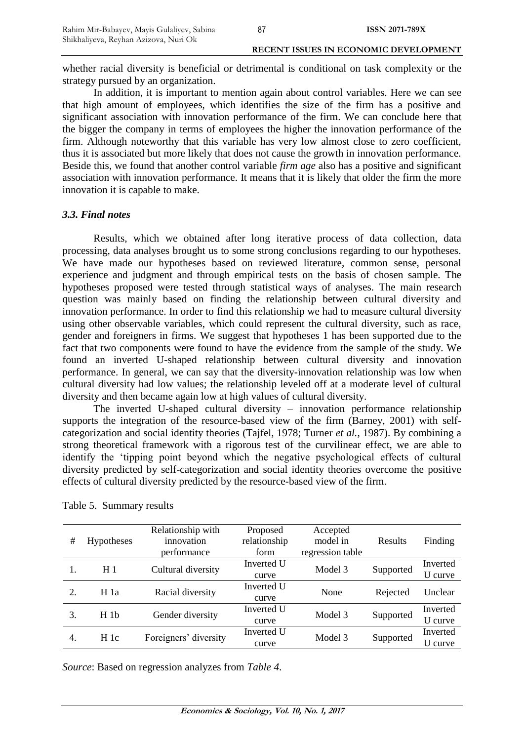whether racial diversity is beneficial or detrimental is conditional on task complexity or the strategy pursued by an organization.

In addition, it is important to mention again about control variables. Here we can see that high amount of employees, which identifies the size of the firm has a positive and significant association with innovation performance of the firm. We can conclude here that the bigger the company in terms of employees the higher the innovation performance of the firm. Although noteworthy that this variable has very low almost close to zero coefficient, thus it is associated but more likely that does not cause the growth in innovation performance. Beside this, we found that another control variable *firm age* also has a positive and significant association with innovation performance. It means that it is likely that older the firm the more innovation it is capable to make.

#### *3.3. Final notes*

Results, which we obtained after long iterative process of data collection, data processing, data analyses brought us to some strong conclusions regarding to our hypotheses. We have made our hypotheses based on reviewed literature, common sense, personal experience and judgment and through empirical tests on the basis of chosen sample. The hypotheses proposed were tested through statistical ways of analyses. The main research question was mainly based on finding the relationship between cultural diversity and innovation performance. In order to find this relationship we had to measure cultural diversity using other observable variables, which could represent the cultural diversity, such as race, gender and foreigners in firms. We suggest that hypotheses 1 has been supported due to the fact that two components were found to have the evidence from the sample of the study. We found an inverted U-shaped relationship between cultural diversity and innovation performance. In general, we can say that the diversity-innovation relationship was low when cultural diversity had low values; the relationship leveled off at a moderate level of cultural diversity and then became again low at high values of cultural diversity.

The inverted U-shaped cultural diversity – innovation performance relationship supports the integration of the resource-based view of the firm (Barney, 2001) with selfcategorization and social identity theories (Tajfel, 1978; Turner *et al.*, 1987). By combining a strong theoretical framework with a rigorous test of the curvilinear effect, we are able to identify the 'tipping point beyond which the negative psychological effects of cultural diversity predicted by self-categorization and social identity theories overcome the positive effects of cultural diversity predicted by the resource-based view of the firm.

| #  | <b>Hypotheses</b> | Relationship with<br>innovation<br>performance | Proposed<br>relationship<br>form | Accepted<br>model in<br>regression table | <b>Results</b> | Finding             |
|----|-------------------|------------------------------------------------|----------------------------------|------------------------------------------|----------------|---------------------|
|    | H <sub>1</sub>    | Cultural diversity                             | Inverted U<br>curve              | Model 3                                  | Supported      | Inverted<br>U curve |
| 2. | H1a               | Racial diversity                               | Inverted U<br>curve              | None                                     | Rejected       | Unclear             |
| 3. | H1b               | Gender diversity                               | Inverted U<br>curve              | Model 3                                  | Supported      | Inverted<br>U curve |
| 4. | H1c               | Foreigners' diversity                          | Inverted U<br>curve              | Model 3                                  | Supported      | Inverted<br>U curve |

Table 5. Summary results

*Source*: Based on regression analyzes from *Table 4*.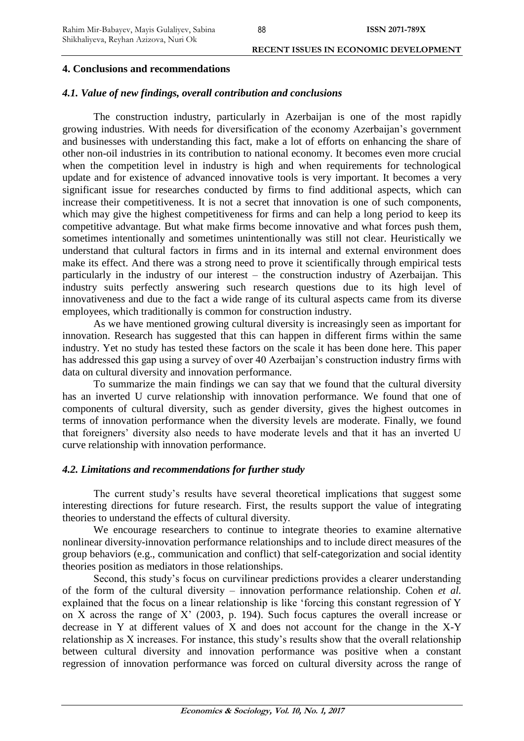**ISSN 2071-789X**

#### **4. Conclusions and recommendations**

#### *4.1. Value of new findings, overall contribution and conclusions*

The construction industry, particularly in Azerbaijan is one of the most rapidly growing industries. With needs for diversification of the economy Azerbaijan's government and businesses with understanding this fact, make a lot of efforts on enhancing the share of other non-oil industries in its contribution to national economy. It becomes even more crucial when the competition level in industry is high and when requirements for technological update and for existence of advanced innovative tools is very important. It becomes a very significant issue for researches conducted by firms to find additional aspects, which can increase their competitiveness. It is not a secret that innovation is one of such components, which may give the highest competitiveness for firms and can help a long period to keep its competitive advantage. But what make firms become innovative and what forces push them, sometimes intentionally and sometimes unintentionally was still not clear. Heuristically we understand that cultural factors in firms and in its internal and external environment does make its effect. And there was a strong need to prove it scientifically through empirical tests particularly in the industry of our interest – the construction industry of Azerbaijan. This industry suits perfectly answering such research questions due to its high level of innovativeness and due to the fact a wide range of its cultural aspects came from its diverse employees, which traditionally is common for construction industry.

As we have mentioned growing cultural diversity is increasingly seen as important for innovation. Research has suggested that this can happen in different firms within the same industry. Yet no study has tested these factors on the scale it has been done here. This paper has addressed this gap using a survey of over 40 Azerbaijan's construction industry firms with data on cultural diversity and innovation performance.

To summarize the main findings we can say that we found that the cultural diversity has an inverted U curve relationship with innovation performance. We found that one of components of cultural diversity, such as gender diversity, gives the highest outcomes in terms of innovation performance when the diversity levels are moderate. Finally, we found that foreigners' diversity also needs to have moderate levels and that it has an inverted U curve relationship with innovation performance.

#### *4.2. Limitations and recommendations for further study*

The current study's results have several theoretical implications that suggest some interesting directions for future research. First, the results support the value of integrating theories to understand the effects of cultural diversity.

We encourage researchers to continue to integrate theories to examine alternative nonlinear diversity-innovation performance relationships and to include direct measures of the group behaviors (e.g., communication and conflict) that self-categorization and social identity theories position as mediators in those relationships.

Second, this study's focus on curvilinear predictions provides a clearer understanding of the form of the cultural diversity – innovation performance relationship. Cohen *et al.*  explained that the focus on a linear relationship is like 'forcing this constant regression of Y on X across the range of X' (2003, p. 194). Such focus captures the overall increase or decrease in Y at different values of X and does not account for the change in the X-Y relationship as X increases. For instance, this study's results show that the overall relationship between cultural diversity and innovation performance was positive when a constant regression of innovation performance was forced on cultural diversity across the range of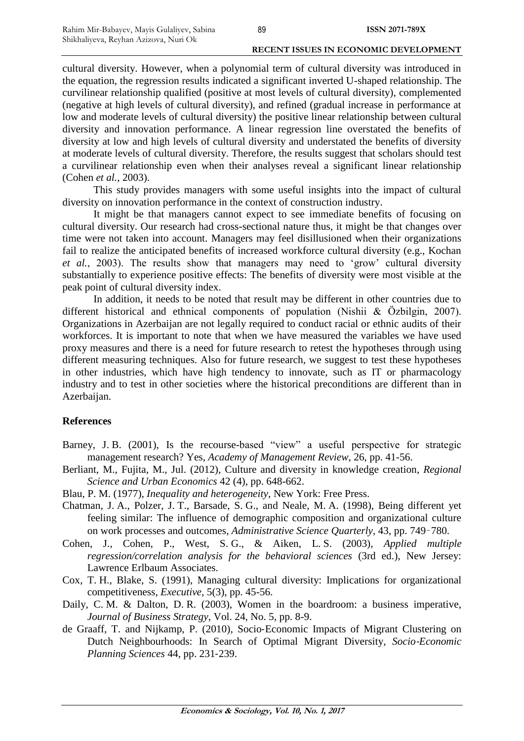cultural diversity. However, when a polynomial term of cultural diversity was introduced in the equation, the regression results indicated a significant inverted U-shaped relationship. The curvilinear relationship qualified (positive at most levels of cultural diversity), complemented (negative at high levels of cultural diversity), and refined (gradual increase in performance at low and moderate levels of cultural diversity) the positive linear relationship between cultural diversity and innovation performance. A linear regression line overstated the benefits of diversity at low and high levels of cultural diversity and understated the benefits of diversity at moderate levels of cultural diversity. Therefore, the results suggest that scholars should test a curvilinear relationship even when their analyses reveal a significant linear relationship (Cohen *et al.*, 2003).

This study provides managers with some useful insights into the impact of cultural diversity on innovation performance in the context of construction industry.

It might be that managers cannot expect to see immediate benefits of focusing on cultural diversity. Our research had cross-sectional nature thus, it might be that changes over time were not taken into account. Managers may feel disillusioned when their organizations fail to realize the anticipated benefits of increased workforce cultural diversity (e.g., Kochan *et al.*, 2003). The results show that managers may need to 'grow' cultural diversity substantially to experience positive effects: The benefits of diversity were most visible at the peak point of cultural diversity index.

In addition, it needs to be noted that result may be different in other countries due to different historical and ethnical components of population (Nishii & Özbilgin, 2007). Organizations in Azerbaijan are not legally required to conduct racial or ethnic audits of their workforces. It is important to note that when we have measured the variables we have used proxy measures and there is a need for future research to retest the hypotheses through using different measuring techniques. Also for future research, we suggest to test these hypotheses in other industries, which have high tendency to innovate, such as IT or pharmacology industry and to test in other societies where the historical preconditions are different than in Azerbaijan.

#### **References**

- Barney, J. B. (2001), Is the recourse-based "view" a useful perspective for strategic management research? Yes, *Academy of Management Review*, 26, pp. 41-56.
- Berliant, M., Fujita, M., Jul. (2012), Culture and diversity in knowledge creation, *Regional Science and Urban Economics* 42 (4), pp. 648-662.
- Blau, P. M. (1977), *Inequality and heterogeneity*, New York: Free Press.
- Chatman, J. A., Polzer, J. T., Barsade, S. G., and Neale, M. A. (1998), Being different yet feeling similar: The influence of demographic composition and organizational culture on work processes and outcomes, *Administrative Science Quarterly*, 43, pp. 749–780.
- Cohen, J., Cohen, P., West, S. G., & Aiken, L. S. (2003), *Applied multiple regression/correlation analysis for the behavioral sciences* (3rd ed.), New Jersey: Lawrence Erlbaum Associates.
- Cox, T. H., Blake, S. (1991), Managing cultural diversity: Implications for organizational competitiveness, *Executive*, 5(3), pp. 45-56.
- Daily, C. M. & Dalton, D. R. (2003), Women in the boardroom: a business imperative, *Journal of Business Strategy*, Vol. 24, No. 5, pp. 8-9.
- de Graaff, T. and Nijkamp, P. (2010), Socio‐Economic Impacts of Migrant Clustering on Dutch Neighbourhoods: In Search of Optimal Migrant Diversity, *Socio*‐*Economic Planning Sciences* 44, pp. 231‐239.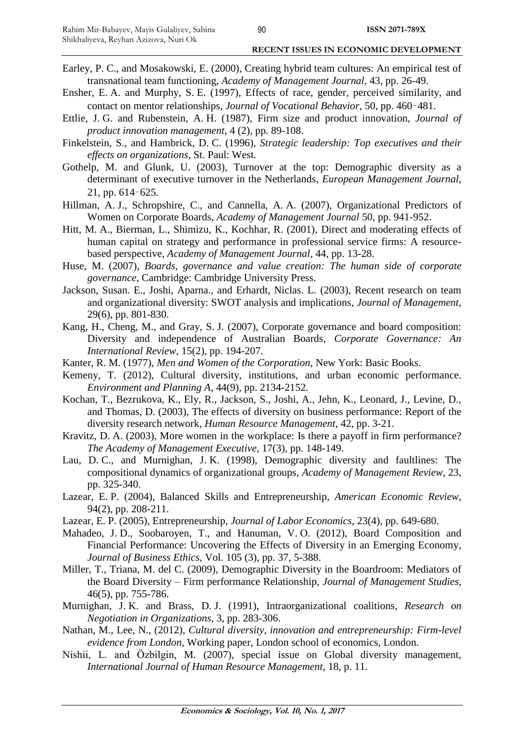- Earley, P. C., and Mosakowski, E. (2000), Creating hybrid team cultures: An empirical test of transnational team functioning, *Academy of Management Journal*, 43, pp. 26-49.
- Ensher, E. A. and Murphy, S. E. (1997), Effects of race, gender, perceived similarity, and contact on mentor relationships, *Journal of Vocational Behavior*, 50, pp. 460–481.
- Ettlie, J. G. and Rubenstein, A. H. (1987), Firm size and product innovation, *Journal of product innovation management*, 4 (2), pp. 89-108.
- Finkelstein, S., and Hambrick, D. C. (1996), *Strategic leadership: Top executives and their effects on organizations*, St. Paul: West.
- Gothelp, M. and Glunk, U. (2003), Turnover at the top: Demographic diversity as a determinant of executive turnover in the Netherlands, *European Management Journal*, 21, pp. 614–625.
- Hillman, A. J., Schropshire, C., and Cannella, A. A. (2007), Organizational Predictors of Women on Corporate Boards, *Academy of Management Journal* 50, pp. 941-952.
- Hitt, M. A., Bierman, L., Shimizu, K., Kochhar, R. (2001), Direct and moderating effects of human capital on strategy and performance in professional service firms: A resourcebased perspective, *Academy of Management Journal*, 44, pp. 13-28.
- Huse, M. (2007), *Boards, governance and value creation: The human side of corporate governance*, Cambridge: Cambridge University Press.
- Jackson, Susan. E., Joshi, Aparna., and Erhardt, Niclas. L. (2003), Recent research on team and organizational diversity: SWOT analysis and implications, *Journal of Management*, 29(6), pp. 801-830.
- Kang, H., Cheng, M., and Gray, S. J. (2007), Corporate governance and board composition: Diversity and independence of Australian Boards, *Corporate Governance: An International Review*, 15(2), pp. 194-207.
- Kanter, R. M. (1977), *Men and Women of the Corporation*, New York: Basic Books.
- Kemeny, T. (2012), Cultural diversity, institutions, and urban economic performance. *Environment and Planning A*, 44(9), pp. 2134-2152.
- Kochan, T., Bezrukova, K., Ely, R., Jackson, S., Joshi, A., Jehn, K., Leonard, J., Levine, D., and Thomas, D. (2003), The effects of diversity on business performance: Report of the diversity research network, *Human Resource Management*, 42, pp. 3-21.
- Kravitz, D. A. (2003), More women in the workplace: Is there a payoff in firm performance? *The Academy of Management Executive*, 17(3), pp. 148-149.
- Lau, D. C., and Murnighan, J. K. (1998), Demographic diversity and faultlines: The compositional dynamics of organizational groups, *Academy of Management Review*, 23, pp. 325-340.
- Lazear, E. P. (2004), Balanced Skills and Entrepreneurship, *American Economic Review*, 94(2), pp. 208-211.
- Lazear, E. P. (2005), Entrepreneurship, *Journal of Labor Economics*, 23(4), pp. 649-680.
- Mahadeo, J. D., Soobaroyen, T., and Hanuman, V. O. (2012), Board Composition and Financial Performance: Uncovering the Effects of Diversity in an Emerging Economy, *Journal of Business Ethics*, Vol. 105 (3), pp. 37, 5-388.
- Miller, T., Triana, M. del C. (2009), Demographic Diversity in the Boardroom: Mediators of the Board Diversity – Firm performance Relationship, *Journal of Management Studies*, 46(5), pp. 755-786.
- Murnighan, J. K. and Brass, D. J. (1991), Intraorganizational coalitions, *Research on Negotiation in Organizations*, 3, pp. 283-306.
- Nathan, M., Lee, N., (2012), *Cultural diversity, innovation and entrepreneurship: Firm-level evidence from London*, Working paper, London school of economics, London.
- Nishii, L. and Özbilgin, M. (2007), special issue on Global diversity management, *International Journal of Human Resource Management*, 18, p. 11.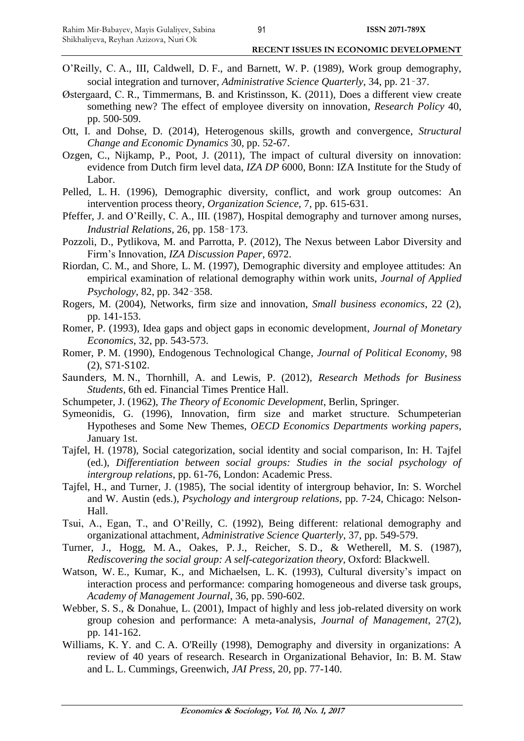- O'Reilly, C. A., III, Caldwell, D. F., and Barnett, W. P. (1989), Work group demography, social integration and turnover, *Administrative Science Quarterly*, 34, pp. 21–37.
- Østergaard, C. R., Timmermans, B. and Kristinsson, K. (2011), Does a different view create something new? The effect of employee diversity on innovation, *Research Policy* 40, pp. 500‐509.
- Ott, I. and Dohse, D. (2014), Heterogenous skills, growth and convergence, *Structural Change and Economic Dynamics* 30, pp. 52-67.
- Ozgen, C., Nijkamp, P., Poot, J. (2011), The impact of cultural diversity on innovation: evidence from Dutch firm level data, *IZA DP* 6000, Bonn: IZA Institute for the Study of Labor.
- Pelled, L. H. (1996), Demographic diversity, conflict, and work group outcomes: An intervention process theory, *Organization Science*, 7, pp. 615-631.
- Pfeffer, J. and O'Reilly, C. A., III. (1987), Hospital demography and turnover among nurses, *Industrial Relations*, 26, pp. 158–173.
- Pozzoli, D., Pytlikova, M. and Parrotta, P. (2012), The Nexus between Labor Diversity and Firm's Innovation, *IZA Discussion Paper*, 6972.
- Riordan, C. M., and Shore, L. M. (1997), Demographic diversity and employee attitudes: An empirical examination of relational demography within work units, *Journal of Applied Psychology*, 82, pp. 342–358.
- Rogers, M. (2004), Networks, firm size and innovation, *Small business economics*, 22 (2), pp. 141-153.
- Romer, P. (1993), Idea gaps and object gaps in economic development, *Journal of Monetary Economics*, 32, pp. 543-573.
- Romer, P. M. (1990), Endogenous Technological Change, *Journal of Political Economy*, 98 (2), S71‐S102.
- Saunders, M. N., Thornhill, A. and Lewis, P. (2012), *Research Methods for Business Students*, 6th ed. Financial Times Prentice Hall.
- Schumpeter, J. (1962), *The Theory of Economic Development*, Berlin, Springer.
- Symeonidis, G. (1996), Innovation, firm size and market structure. Schumpeterian Hypotheses and Some New Themes, *OECD Economics Departments working papers*, January 1st.
- Tajfel, H. (1978), Social categorization, social identity and social comparison, In: H. Tajfel (ed.), *Differentiation between social groups: Studies in the social psychology of intergroup relations*, pp. 61-76, London: Academic Press.
- Tajfel, H., and Turner, J. (1985), The social identity of intergroup behavior, In: S. Worchel and W. Austin (eds.), *Psychology and intergroup relations*, pp. 7-24, Chicago: Nelson-Hall.
- Tsui, A., Egan, T., and O'Reilly, C. (1992), Being different: relational demography and organizational attachment, *Administrative Science Quarterly*, 37, pp. 549-579.
- Turner, J., Hogg, M. A., Oakes, P. J., Reicher, S. D., & Wetherell, M. S. (1987), *Rediscovering the social group: A self-categorization theory*, Oxford: Blackwell.
- Watson, W. E., Kumar, K., and Michaelsen, L. K. (1993), Cultural diversity's impact on interaction process and performance: comparing homogeneous and diverse task groups, *Academy of Management Journal*, 36, pp. 590-602.
- Webber, S. S., & Donahue, L. (2001), Impact of highly and less job-related diversity on work group cohesion and performance: A meta-analysis, *Journal of Management*, 27(2), pp. 141-162.
- Williams, K. Y. and C. A. O'Reilly (1998), Demography and diversity in organizations: A review of 40 years of research. Research in Organizational Behavior, In: B. M. Staw and L. L. Cummings, Greenwich, *JAI Press*, 20, pp. 77-140.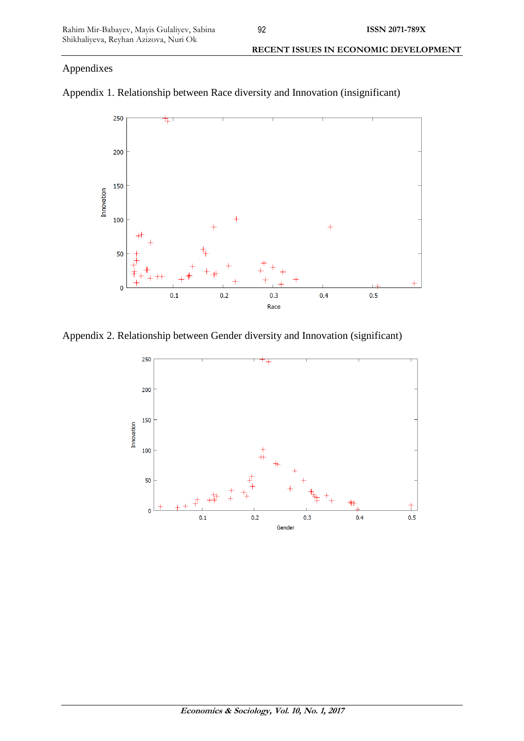# Appendixes



Appendix 1. Relationship between Race diversity and Innovation (insignificant)

Appendix 2. Relationship between Gender diversity and Innovation (significant)